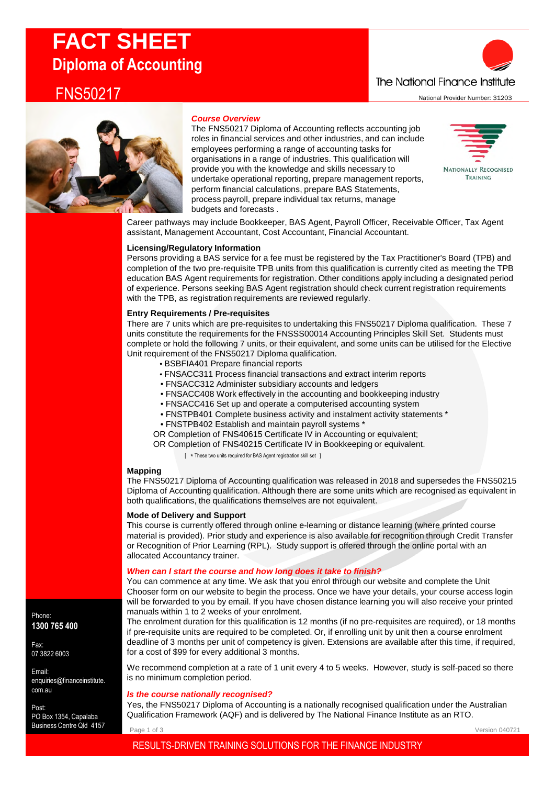# **FACT SHEET Diploma of Accounting**

## FNS50217





#### *Course Overview*

The FNS50217 Diploma of Accounting reflects accounting job roles in financial services and other industries, and can include employees performing a range of accounting tasks for organisations in a range of industries. This qualification will provide you with the knowledge and skills necessary to undertake operational reporting, prepare management reports, perform financial calculations, prepare BAS Statements, process payroll, prepare individual tax returns, manage budgets and forecasts .



Career pathways may include Bookkeeper, BAS Agent, Payroll Officer, Receivable Officer, Tax Agent assistant, Management Accountant, Cost Accountant, Financial Accountant.

#### **Licensing/Regulatory Information**

Persons providing a BAS service for a fee must be registered by the Tax Practitioner's Board (TPB) and completion of the two pre-requisite TPB units from this qualification is currently cited as meeting the TPB education BAS Agent requirements for registration. Other conditions apply including a designated period of experience. Persons seeking BAS Agent registration should check current registration requirements with the TPB, as registration requirements are reviewed regularly.

#### **Entry Requirements / Pre-requisites**

There are 7 units which are pre-requisites to undertaking this FNS50217 Diploma qualification. These 7 units constitute the requirements for the FNSSS00014 Accounting Principles Skill Set. Students must complete or hold the following 7 units, or their equivalent, and some units can be utilised for the Elective Unit requirement of the FNS50217 Diploma qualification.

- BSBFIA401 Prepare financial reports
- FNSACC311 Process financial transactions and extract interim reports
- FNSACC312 Administer subsidiary accounts and ledgers
- FNSACC408 Work effectively in the accounting and bookkeeping industry
- FNSACC416 Set up and operate a computerised accounting system
- FNSTPB401 Complete business activity and instalment activity statements \*
- FNSTPB402 Establish and maintain payroll systems \*

OR Completion of FNS40615 Certificate IV in Accounting or equivalent;

OR Completion of FNS40215 Certificate IV in Bookkeeping or equivalent.

[ \* These two units required for BAS Agent registration skill set ]

#### **Mapping**

The FNS50217 Diploma of Accounting qualification was released in 2018 and supersedes the FNS50215 Diploma of Accounting qualification. Although there are some units which are recognised as equivalent in both qualifications, the qualifications themselves are not equivalent.

#### **Mode of Delivery and Support**

This course is currently offered through online e-learning or distance learning (where printed course material is provided). Prior study and experience is also available for recognition through Credit Transfer or Recognition of Prior Learning (RPL). Study support is offered through the online portal with an allocated Accountancy trainer.

#### *When can I start the course and how long does it take to finish?*

You can commence at any time. We ask that you enrol through our website and complete the Unit Chooser form on our website to begin the process. Once we have your details, your course access login will be forwarded to you by email. If you have chosen distance learning you will also receive your printed manuals within 1 to 2 weeks of your enrolment.

The enrolment duration for this qualification is 12 months (if no pre-requisites are required), or 18 months if pre-requisite units are required to be completed. Or, if enrolling unit by unit then a course enrolment deadline of 3 months per unit of competency is given. Extensions are available after this time, if required, for a cost of \$99 for every additional 3 months.

We recommend completion at a rate of 1 unit every 4 to 5 weeks. However, study is self-paced so there is no minimum completion period.

#### *Is the course nationally recognised?*

Yes, the FNS50217 Diploma of Accounting is a nationally recognised qualification under the Australian Qualification Framework (AQF) and is delivered by The National Finance Institute as an RTO.

Page 1 of 3

RESULTS-DRIVEN TRAINING SOLUTIONS FOR THE FINANCE INDUSTRY

Version 040721

**1300 765 400**

Fax: 07 3822 6003

Phone:

Email: enquiries@financeinstitute. com.au

Post: PO Box 1354, Capalaba Business Centre Qld 4157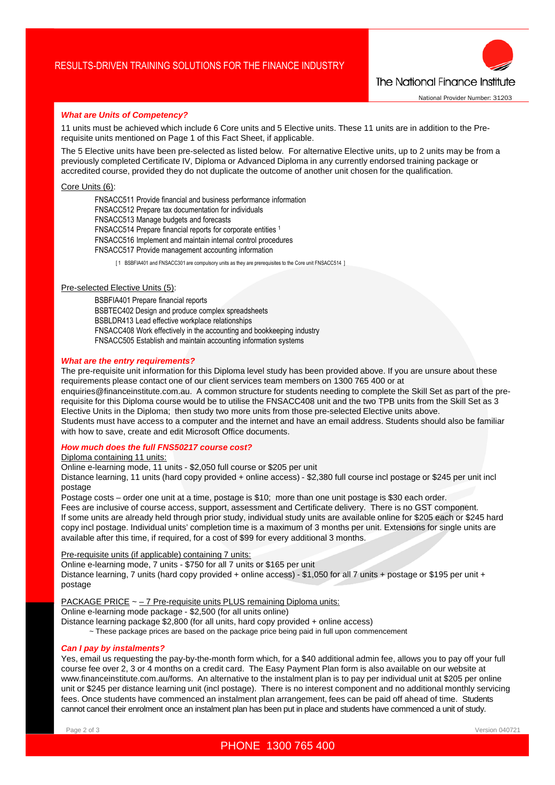### RESULTS-DRIVEN TRAINING SOLUTIONS FOR THE FINANCE INDUSTRY



#### *What are Units of Competency?*

11 units must be achieved which include 6 Core units and 5 Elective units. These 11 units are in addition to the Prerequisite units mentioned on Page 1 of this Fact Sheet, if applicable.

The 5 Elective units have been pre-selected as listed below. For alternative Elective units, up to 2 units may be from a previously completed Certificate IV, Diploma or Advanced Diploma in any currently endorsed training package or accredited course, provided they do not duplicate the outcome of another unit chosen for the qualification.

#### Core Units (6):

FNSACC511 Provide financial and business performance information FNSACC512 Prepare tax documentation for individuals FNSACC513 Manage budgets and forecasts FNSACC514 Prepare financial reports for corporate entities <sup>1</sup> FNSACC516 Implement and maintain internal control procedures FNSACC517 Provide management accounting information

[ 1 BSBFIA401 and FNSACC301 are compulsory units as they are prerequisites to the Core unit FNSACC514 ]

#### Pre-selected Elective Units (5):

BSBFIA401 Prepare financial reports BSBTEC402 Design and produce complex spreadsheets BSBLDR413 Lead effective workplace relationships FNSACC408 Work effectively in the accounting and bookkeeping industry FNSACC505 Establish and maintain accounting information systems

#### *What are the entry requirements?*

The pre-requisite unit information for this Diploma level study has been provided above. If you are unsure about these requirements please contact one of our client services team members on 1300 765 400 or at enquiries@financeinstitute.com.au. A common structure for students needing to complete the Skill Set as part of the prerequisite for this Diploma course would be to utilise the FNSACC408 unit and the two TPB units from the Skill Set as 3 Elective Units in the Diploma; then study two more units from those pre-selected Elective units above. Students must have access to a computer and the internet and have an email address. Students should also be familiar with how to save, create and edit Microsoft Office documents.

#### *How much does the full FNS50217 course cost?*

Diploma containing 11 units:

Online e-learning mode, 11 units - \$2,050 full course or \$205 per unit

Distance learning, 11 units (hard copy provided + online access) - \$2,380 full course incl postage or \$245 per unit incl postage

Postage costs – order one unit at a time, postage is \$10; more than one unit postage is \$30 each order.

Fees are inclusive of course access, support, assessment and Certificate delivery. There is no GST component. If some units are already held through prior study, individual study units are available online for \$205 each or \$245 hard copy incl postage. Individual units' completion time is a maximum of 3 months per unit. Extensions for single units are available after this time, if required, for a cost of \$99 for every additional 3 months.

Pre-requisite units (if applicable) containing 7 units:

Online e-learning mode, 7 units - \$750 for all 7 units or \$165 per unit

Distance learning, 7 units (hard copy provided + online access) - \$1,050 for all 7 units + postage or \$195 per unit + postage

#### PACKAGE PRICE ~ - 7 Pre-requisite units PLUS remaining Diploma units:

Online e-learning mode package - \$2,500 (for all units online)

Distance learning package \$2,800 (for all units, hard copy provided + online access)

~ These package prices are based on the package price being paid in full upon commencement

#### *Can I pay by instalments?*

Yes, email us requesting the pay-by-the-month form which, for a \$40 additional admin fee, allows you to pay off your full course fee over 2, 3 or 4 months on a credit card. The Easy Payment Plan form is also available on our website at www.financeinstitute.com.au/forms. An alternative to the instalment plan is to pay per individual unit at \$205 per online unit or \$245 per distance learning unit (incl postage). There is no interest component and no additional monthly servicing fees. Once students have commenced an instalment plan arrangement, fees can be paid off ahead of time. Students cannot cancel their enrolment once an instalment plan has been put in place and students have commenced a unit of study.